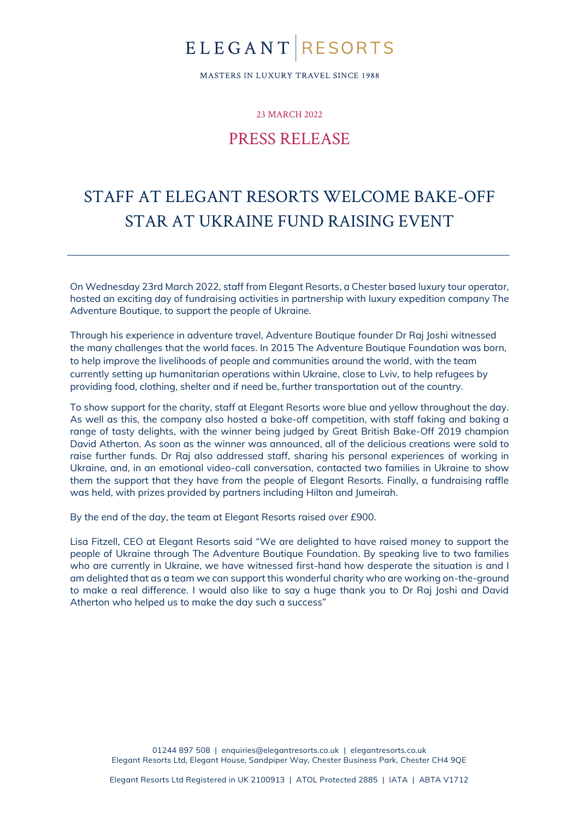### ELEGANTRESORTS

MASTERS IN LUXURY TRAVEL SINCE 1988

23 MARCH 2022

#### PRESS RELEASE

### STAFF AT ELEGANT RESORTS WELCOME BAKE-OFF STAR AT UKRAINE FUND RAISING EVENT

On Wednesday 23rd March 2022, staff from Elegant Resorts, a Chester based luxury tour operator, hosted an exciting day of fundraising activities in partnership with luxury expedition company The Adventure Boutique, to support the people of Ukraine.

Through his experience in adventure travel, Adventure Boutique founder Dr Raj Joshi witnessed the many challenges that the world faces. In 2015 The Adventure Boutique Foundation was born, to help improve the livelihoods of people and communities around the world, with the team currently setting up humanitarian operations within Ukraine, close to Lviv, to help refugees by providing food, clothing, shelter and if need be, further transportation out of the country.

To show support for the charity, staff at Elegant Resorts wore blue and yellow throughout the day. As well as this, the company also hosted a bake-off competition, with staff faking and baking a range of tasty delights, with the winner being judged by Great British Bake-Off 2019 champion David Atherton. As soon as the winner was announced, all of the delicious creations were sold to raise further funds. Dr Raj also addressed staff, sharing his personal experiences of working in Ukraine, and, in an emotional video-call conversation, contacted two families in Ukraine to show them the support that they have from the people of Elegant Resorts. Finally, a fundraising raffle was held, with prizes provided by partners including Hilton and Jumeirah.

By the end of the day, the team at Elegant Resorts raised over £900.

Lisa Fitzell, CEO at Elegant Resorts said "We are delighted to have raised money to support the people of Ukraine through The Adventure Boutique Foundation. By speaking live to two families who are currently in Ukraine, we have witnessed first-hand how desperate the situation is and I am delighted that as a team we can support this wonderful charity who are working on-the-ground to make a real difference. I would also like to say a huge thank you to Dr Raj Joshi and David Atherton who helped us to make the day such a success"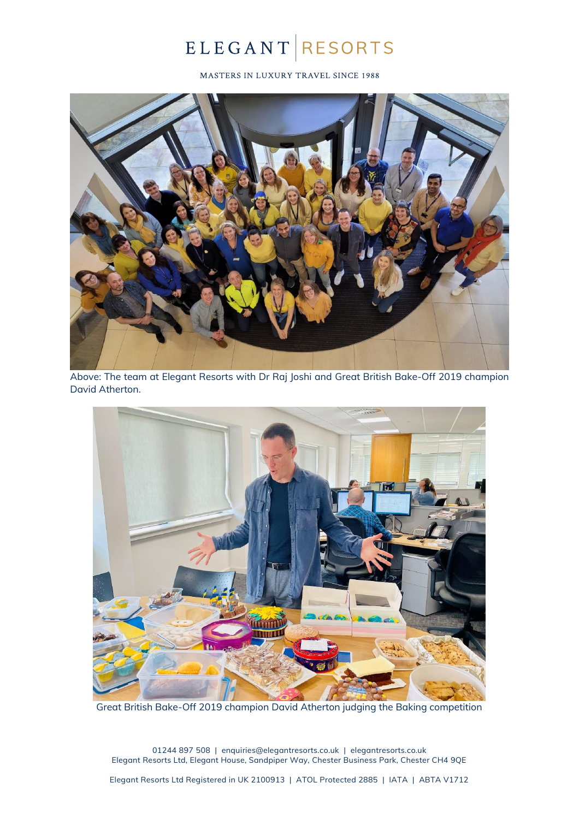# ELEGANT RESORTS

MASTERS IN LUXURY TRAVEL SINCE 1988



Above: The team at Elegant Resorts with Dr Raj Joshi and Great British Bake-Off 2019 champion David Atherton.



Great British Bake-Off 2019 champion David Atherton judging the Baking competition

01244 897 508 | [enquiries@elegantresorts.co.uk](mailto:enquiries@elegantresorts.co.uk) | elegantresorts.co.uk Elegant Resorts Ltd, Elegant House, Sandpiper Way, Chester Business Park, Chester CH4 9QE

Elegant Resorts Ltd Registered in UK 2100913 | ATOL Protected 2885 | IATA | ABTA V1712